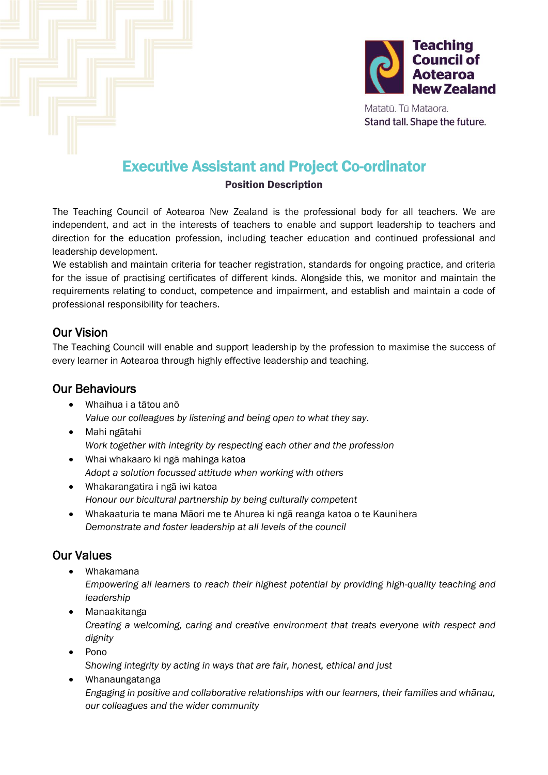



Matatū. Tū Mataora. Stand tall. Shape the future.

# Executive Assistant and Project Co-ordinator

#### Position Description

The Teaching Council of Aotearoa New Zealand is the professional body for all teachers. We are independent, and act in the interests of teachers to enable and support leadership to teachers and direction for the education profession, including teacher education and continued professional and leadership development.

We establish and maintain criteria for teacher registration, standards for ongoing practice, and criteria for the issue of practising certificates of different kinds. Alongside this, we monitor and maintain the requirements relating to conduct, competence and impairment, and establish and maintain a code of professional responsibility for teachers.

## Our Vision

The Teaching Council will enable and support leadership by the profession to maximise the success of every learner in Aotearoa through highly effective leadership and teaching.

#### Our Behaviours

- Whaihua i a tātou anō *Value our colleagues by listening and being open to what they say*.
- Mahi ngātahi *Work together with integrity by respecting each other and the profession*
- Whai whakaaro ki ngā mahinga katoa *Adopt a solution focussed attitude when working with others*
- Whakarangatira i ngā iwi katoa *Honour our bicultural partnership by being culturally competent*
- Whakaaturia te mana Māori me te Ahurea ki ngā reanga katoa o te Kaunihera *Demonstrate and foster leadership at all levels of the council*

## Our Values

- Whakamana
	- *Empowering all learners to reach their highest potential by providing high-quality teaching and leadership*
- Manaakitanga *Creating a welcoming, caring and creative environment that treats everyone with respect and dignity*
- Pono *Showing integrity by acting in ways that are fair, honest, ethical and just*
- Whanaungatanga *Engaging in positive and collaborative relationships with our learners, their families and whānau, our colleagues and the wider community*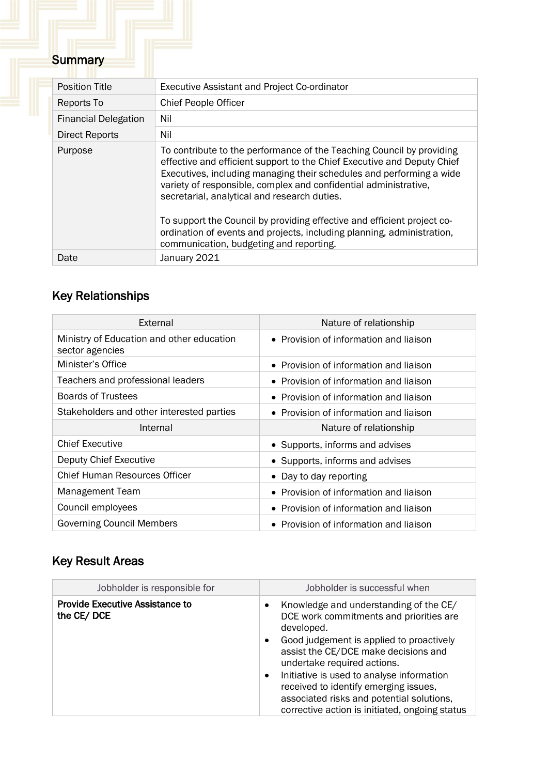# Summary

| <b>Position Title</b>       | Executive Assistant and Project Co-ordinator                                                                                                                                                                                                                                                                                                                                                                                                                                                                                                 |
|-----------------------------|----------------------------------------------------------------------------------------------------------------------------------------------------------------------------------------------------------------------------------------------------------------------------------------------------------------------------------------------------------------------------------------------------------------------------------------------------------------------------------------------------------------------------------------------|
| Reports To                  | <b>Chief People Officer</b>                                                                                                                                                                                                                                                                                                                                                                                                                                                                                                                  |
| <b>Financial Delegation</b> | Nil                                                                                                                                                                                                                                                                                                                                                                                                                                                                                                                                          |
| Direct Reports              | Nil                                                                                                                                                                                                                                                                                                                                                                                                                                                                                                                                          |
| Purpose                     | To contribute to the performance of the Teaching Council by providing<br>effective and efficient support to the Chief Executive and Deputy Chief<br>Executives, including managing their schedules and performing a wide<br>variety of responsible, complex and confidential administrative,<br>secretarial, analytical and research duties.<br>To support the Council by providing effective and efficient project co-<br>ordination of events and projects, including planning, administration,<br>communication, budgeting and reporting. |
| Date                        | January 2021                                                                                                                                                                                                                                                                                                                                                                                                                                                                                                                                 |

# Key Relationships

| External                                                     | Nature of relationship                 |
|--------------------------------------------------------------|----------------------------------------|
| Ministry of Education and other education<br>sector agencies | • Provision of information and liaison |
| Minister's Office                                            | • Provision of information and liaison |
| Teachers and professional leaders                            | • Provision of information and liaison |
| <b>Boards of Trustees</b>                                    | • Provision of information and liaison |
| Stakeholders and other interested parties                    | • Provision of information and liaison |
| Internal                                                     | Nature of relationship                 |
| <b>Chief Executive</b>                                       | • Supports, informs and advises        |
| Deputy Chief Executive                                       | • Supports, informs and advises        |
| Chief Human Resources Officer                                | • Day to day reporting                 |
| Management Team                                              | • Provision of information and liaison |
| Council employees                                            | • Provision of information and liaison |
| <b>Governing Council Members</b>                             | • Provision of information and liaison |

# Key Result Areas

| Jobholder is responsible for                         | Jobholder is successful when                                                                                                                                                                                                                                                                                                                                                                                                           |
|------------------------------------------------------|----------------------------------------------------------------------------------------------------------------------------------------------------------------------------------------------------------------------------------------------------------------------------------------------------------------------------------------------------------------------------------------------------------------------------------------|
| <b>Provide Executive Assistance to</b><br>the CE/DCE | Knowledge and understanding of the CE/<br>٠<br>DCE work commitments and priorities are<br>developed.<br>Good judgement is applied to proactively<br>$\bullet$<br>assist the CE/DCE make decisions and<br>undertake required actions.<br>Initiative is used to analyse information<br>$\bullet$<br>received to identify emerging issues,<br>associated risks and potential solutions,<br>corrective action is initiated, ongoing status |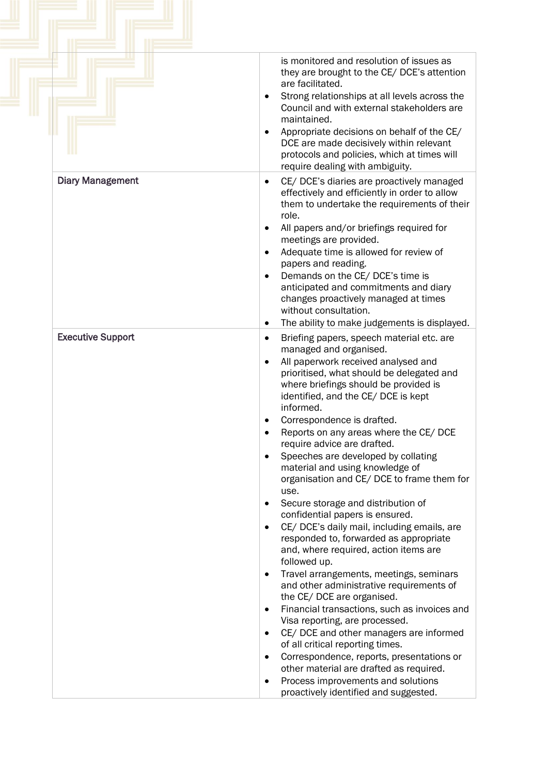|                          | is monitored and resolution of issues as<br>they are brought to the CE/ DCE's attention<br>are facilitated.<br>Strong relationships at all levels across the<br>٠<br>Council and with external stakeholders are<br>maintained.<br>Appropriate decisions on behalf of the CE/<br>DCE are made decisively within relevant<br>protocols and policies, which at times will<br>require dealing with ambiguity.                                                                                                                                                                                                                                                                                                                                                                                                                                                                                                                                                                                                                                                                                                                                                                                                                                                                                                                |
|--------------------------|--------------------------------------------------------------------------------------------------------------------------------------------------------------------------------------------------------------------------------------------------------------------------------------------------------------------------------------------------------------------------------------------------------------------------------------------------------------------------------------------------------------------------------------------------------------------------------------------------------------------------------------------------------------------------------------------------------------------------------------------------------------------------------------------------------------------------------------------------------------------------------------------------------------------------------------------------------------------------------------------------------------------------------------------------------------------------------------------------------------------------------------------------------------------------------------------------------------------------------------------------------------------------------------------------------------------------|
| <b>Diary Management</b>  | CE/ DCE's diaries are proactively managed<br>$\bullet$<br>effectively and efficiently in order to allow<br>them to undertake the requirements of their<br>role.<br>All papers and/or briefings required for<br>٠<br>meetings are provided.<br>Adequate time is allowed for review of<br>$\bullet$<br>papers and reading.<br>Demands on the CE/ DCE's time is<br>anticipated and commitments and diary<br>changes proactively managed at times<br>without consultation.<br>The ability to make judgements is displayed.<br>٠                                                                                                                                                                                                                                                                                                                                                                                                                                                                                                                                                                                                                                                                                                                                                                                              |
| <b>Executive Support</b> | Briefing papers, speech material etc. are<br>٠<br>managed and organised.<br>All paperwork received analysed and<br>$\bullet$<br>prioritised, what should be delegated and<br>where briefings should be provided is<br>identified, and the CE/ DCE is kept<br>informed.<br>Correspondence is drafted.<br>$\bullet$<br>Reports on any areas where the CE/ DCE<br>require advice are drafted.<br>Speeches are developed by collating<br>$\bullet$<br>material and using knowledge of<br>organisation and CE/DCE to frame them for<br>use.<br>Secure storage and distribution of<br>$\bullet$<br>confidential papers is ensured.<br>CE/ DCE's daily mail, including emails, are<br>$\bullet$<br>responded to, forwarded as appropriate<br>and, where required, action items are<br>followed up.<br>Travel arrangements, meetings, seminars<br>$\bullet$<br>and other administrative requirements of<br>the CE/DCE are organised.<br>Financial transactions, such as invoices and<br>$\bullet$<br>Visa reporting, are processed.<br>CE/ DCE and other managers are informed<br>$\bullet$<br>of all critical reporting times.<br>Correspondence, reports, presentations or<br>$\bullet$<br>other material are drafted as required.<br>Process improvements and solutions<br>$\bullet$<br>proactively identified and suggested. |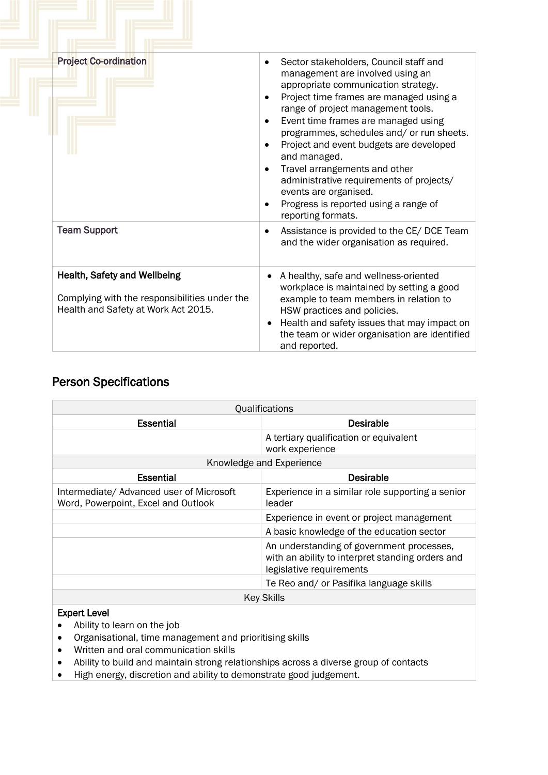| <b>Project Co-ordination</b>                                                                                         | Sector stakeholders, Council staff and<br>management are involved using an<br>appropriate communication strategy.<br>Project time frames are managed using a<br>range of project management tools.<br>Event time frames are managed using<br>٠<br>programmes, schedules and/ or run sheets.<br>Project and event budgets are developed<br>$\bullet$<br>and managed.<br>Travel arrangements and other<br>administrative requirements of projects/<br>events are organised.<br>Progress is reported using a range of<br>reporting formats. |  |
|----------------------------------------------------------------------------------------------------------------------|------------------------------------------------------------------------------------------------------------------------------------------------------------------------------------------------------------------------------------------------------------------------------------------------------------------------------------------------------------------------------------------------------------------------------------------------------------------------------------------------------------------------------------------|--|
| <b>Team Support</b>                                                                                                  | Assistance is provided to the CE/ DCE Team<br>$\bullet$<br>and the wider organisation as required.                                                                                                                                                                                                                                                                                                                                                                                                                                       |  |
| Health, Safety and Wellbeing<br>Complying with the responsibilities under the<br>Health and Safety at Work Act 2015. | A healthy, safe and wellness-oriented<br>workplace is maintained by setting a good<br>example to team members in relation to<br>HSW practices and policies.<br>Health and safety issues that may impact on<br>$\bullet$<br>the team or wider organisation are identified<br>and reported.                                                                                                                                                                                                                                                |  |

## Person Specifications

| Qualifications                                                                  |                                                                                                                           |  |  |
|---------------------------------------------------------------------------------|---------------------------------------------------------------------------------------------------------------------------|--|--|
| <b>Essential</b>                                                                | <b>Desirable</b>                                                                                                          |  |  |
|                                                                                 | A tertiary qualification or equivalent<br>work experience                                                                 |  |  |
| Knowledge and Experience                                                        |                                                                                                                           |  |  |
| <b>Essential</b>                                                                | <b>Desirable</b>                                                                                                          |  |  |
| Intermediate/ Advanced user of Microsoft<br>Word, Powerpoint, Excel and Outlook | Experience in a similar role supporting a senior<br>leader                                                                |  |  |
|                                                                                 | Experience in event or project management                                                                                 |  |  |
|                                                                                 | A basic knowledge of the education sector                                                                                 |  |  |
|                                                                                 | An understanding of government processes,<br>with an ability to interpret standing orders and<br>legislative requirements |  |  |
|                                                                                 | Te Reo and/ or Pasifika language skills                                                                                   |  |  |
| <b>Key Skills</b>                                                               |                                                                                                                           |  |  |
| <b>Expert Level</b><br>Ability to learn on the job                              |                                                                                                                           |  |  |

- Ability to learn on the job • Organisational, time management and prioritising skills
- Written and oral communication skills
- Ability to build and maintain strong relationships across a diverse group of contacts
- High energy, discretion and ability to demonstrate good judgement.